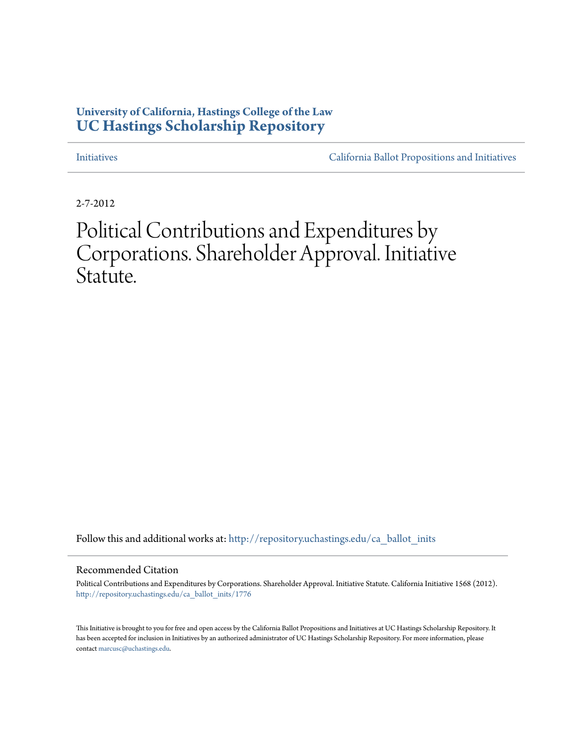# **University of California, Hastings College of the Law [UC Hastings Scholarship Repository](http://repository.uchastings.edu?utm_source=repository.uchastings.edu%2Fca_ballot_inits%2F1776&utm_medium=PDF&utm_campaign=PDFCoverPages)**

[Initiatives](http://repository.uchastings.edu/ca_ballot_inits?utm_source=repository.uchastings.edu%2Fca_ballot_inits%2F1776&utm_medium=PDF&utm_campaign=PDFCoverPages) [California Ballot Propositions and Initiatives](http://repository.uchastings.edu/ca_ballots?utm_source=repository.uchastings.edu%2Fca_ballot_inits%2F1776&utm_medium=PDF&utm_campaign=PDFCoverPages)

2-7-2012

# Political Contributions and Expenditures by Corporations. Shareholder Approval. Initiative Statute.

Follow this and additional works at: [http://repository.uchastings.edu/ca\\_ballot\\_inits](http://repository.uchastings.edu/ca_ballot_inits?utm_source=repository.uchastings.edu%2Fca_ballot_inits%2F1776&utm_medium=PDF&utm_campaign=PDFCoverPages)

#### Recommended Citation

Political Contributions and Expenditures by Corporations. Shareholder Approval. Initiative Statute. California Initiative 1568 (2012). [http://repository.uchastings.edu/ca\\_ballot\\_inits/1776](http://repository.uchastings.edu/ca_ballot_inits/1776?utm_source=repository.uchastings.edu%2Fca_ballot_inits%2F1776&utm_medium=PDF&utm_campaign=PDFCoverPages)

This Initiative is brought to you for free and open access by the California Ballot Propositions and Initiatives at UC Hastings Scholarship Repository. It has been accepted for inclusion in Initiatives by an authorized administrator of UC Hastings Scholarship Repository. For more information, please contact [marcusc@uchastings.edu](mailto:marcusc@uchastings.edu).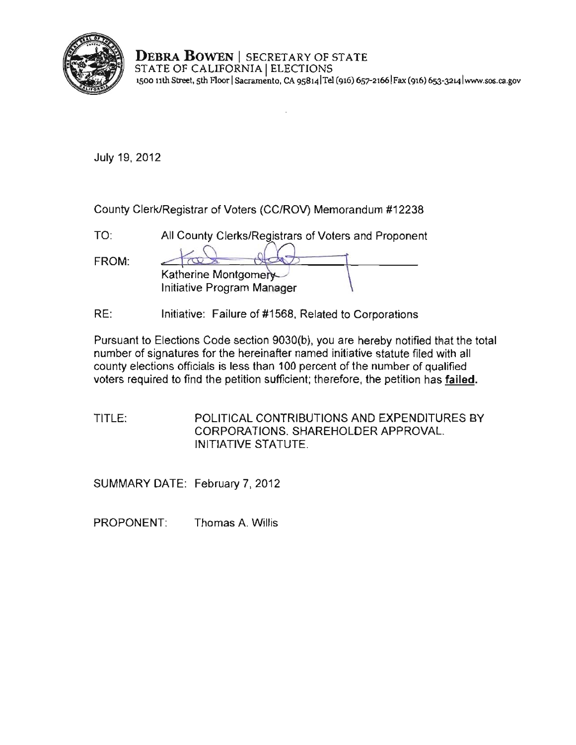

**DEBRA BOWEN** I SECRETARY OF STATE STATE OF CALIFORNIA | ELECTIONS **1500 11th Street, 5th Floor ISacramento, CA 9S8141Tel (916) 657-21661 Fax (916) 653-:J214 lwww.sos.ca.gov** 

July 19, 2012

County Clerk/Registrar of Voters (CC/ROV) Memorandum #12238

 $\overline{\phantom{a}}$ 

| TN.   | All County Clerks/Registrars of Voters and Proponent |
|-------|------------------------------------------------------|
| FROM: |                                                      |
|       | Katherine Montgomery                                 |
|       | Initiative Program Manager                           |

RE: Initiative: Failure of #1568, Related to Corporations

Pursuant to Elections Code section 9030(b), you are hereby notified that the total number of signatures for the hereinafter named initiative statute filed with all county elections officials is less than 100 percent of the number of qualified voters required to find the petition sufficient; therefore, the petition has failed.

TITLE: POLITICAL CONTRIBUTIONS AND EXPENDITURES BY CORPORATIONS. SHAREHOLDER APPROVAL. INITIATIVE STATUTE.

SUMMARY DATE: February 7, 2012

PROPONENT: Thomas A. Willis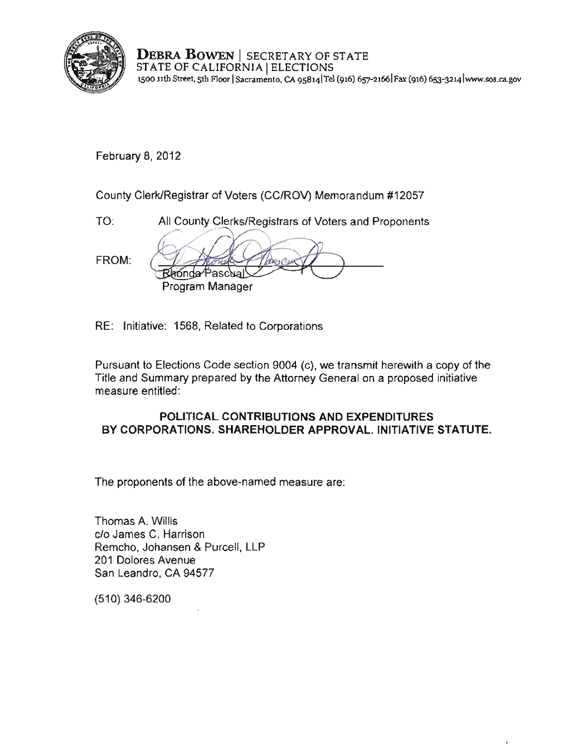

**DEBRA BOWEN** I SECRETARY OF STATE STATE OF CALIFORNIA | ELECTIONS **1500 11th Street, 5th :f.1oor ISacramento, CA 9S8141Tel (916) 651-21661Fax (916) 6s3-3214 [lwww.sos.cagov](www.sos.ca.gov)** 

February 8, 2012

County Clerk/Registrar of Voters (CC/ROV) Memorandum #12057

TO: All County Clerks/Registrars of Voters and Proponents FROM: Bhonda Pascual Program Manager

RE: Initiative: 1568, Related to Corporations

Pursuant to Elections Code section 9004 (c), we transmit herewith a copy of the Title and Summary prepared by the Attorney General on a proposed initiative measure entitled:

# POLITICAL CONTRIBUTIONS AND EXPENDITURES **BY** CORPORATIONS. SHAREHOLDER APPROVAL. INITIATIVE STATUTE.

The proponents of the above-named measure are:

Thomas A. Willis c/o James C. Harrison Remcho, Johansen & Purcell, LLP 201 Dolores Avenue San Leandro, CA 94577

(510) 346-6200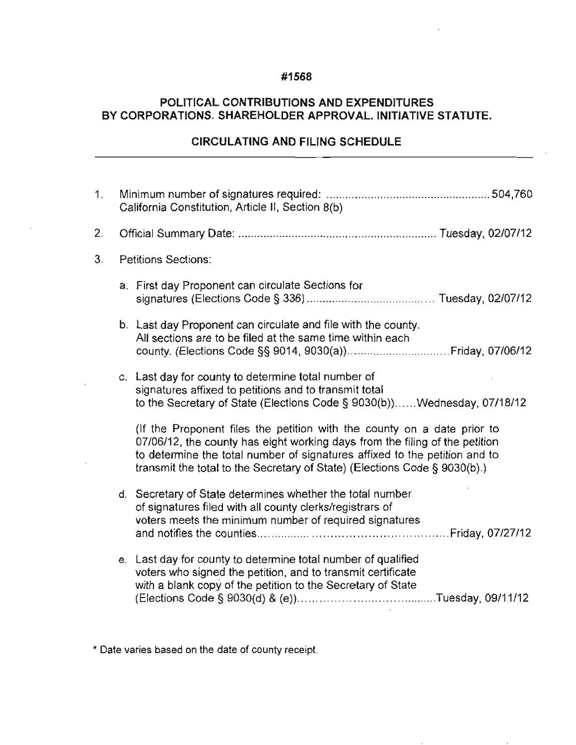# **#1568**

# **POLITICAL CONTRIBUTIONS AND EXPENDITURES BY CORPORATIONS. SHAREHOLDER APPROVAL. INITIATIVE STATUTE.**

### **CIRCULATING AND FILING SCHEDULE**

| 1 <sub>1</sub> | California Constitution, Article II, Section 8(b) |                                                                                                                                                                                                                                                                                                                   |  |
|----------------|---------------------------------------------------|-------------------------------------------------------------------------------------------------------------------------------------------------------------------------------------------------------------------------------------------------------------------------------------------------------------------|--|
| 2.             |                                                   |                                                                                                                                                                                                                                                                                                                   |  |
| 3.             |                                                   | <b>Petitions Sections:</b>                                                                                                                                                                                                                                                                                        |  |
|                |                                                   | a. First day Proponent can circulate Sections for                                                                                                                                                                                                                                                                 |  |
|                |                                                   | b. Last day Proponent can circulate and file with the county.<br>All sections are to be filed at the same time within each                                                                                                                                                                                        |  |
|                |                                                   | c. Last day for county to determine total number of<br>signatures affixed to petitions and to transmit total<br>to the Secretary of State (Elections Code § 9030(b)) Wednesday, 07/18/12                                                                                                                          |  |
|                |                                                   | (If the Proponent files the petition with the county on a date prior to<br>07/06/12, the county has eight working days from the filing of the petition<br>to determine the total number of signatures affixed to the petition and to<br>transmit the total to the Secretary of State) (Elections Code § 9030(b).) |  |
|                |                                                   | d. Secretary of State determines whether the total number<br>of signatures filed with all county clerks/registrars of<br>voters meets the minimum number of required signatures                                                                                                                                   |  |
|                |                                                   | e. Last day for county to determine total number of qualified<br>voters who signed the petition, and to transmit certificate<br>with a blank copy of the petition to the Secretary of State                                                                                                                       |  |

**\* Date varies based on the date of county receipt.**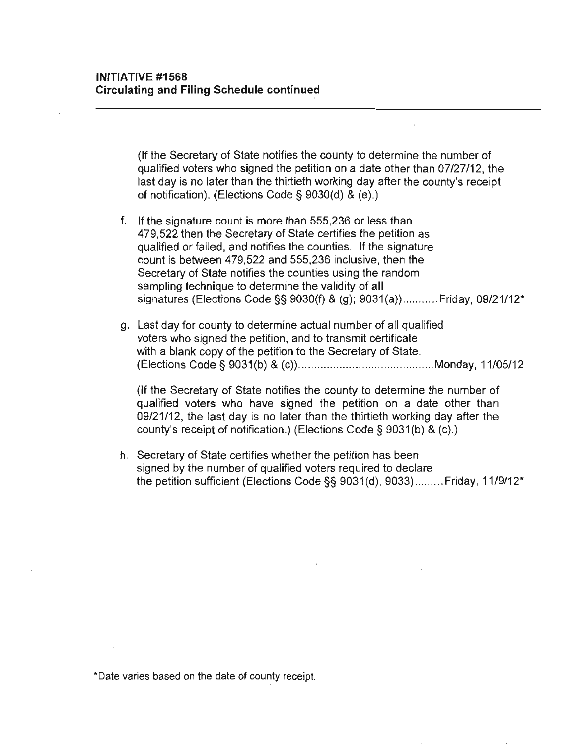(If the Secrelary of State notifies the county to determine the number of qualified voters who signed the petition on a date other than 07/27/12, the last day is no later than the thirtieth working day after the county's receipt of notification). (Elections Code § 9030(d) & (e).)

- f. If the signature count is more than 555,236 or less than 479,522 then the Secretary of State certifies the petition as qualified or failed, and notifies the counties. If the signature count is between 479,522 and 555,236 inclusive, then the Secretary of State notifies the counties using the random sampling technique to determine the validity of **all**  signatures (Elections Code §§ 9030(f) & (g); 9031(a))........... Friday, 09/21/12\*
- g. Last day for county to determine actual number of all qualified voters who signed the petition, and to transmit certificate with a blank copy of the petition to the Secretary of State. (Elections Code § 9031(b) & (c)) .................. .... ........... .... .. Monday, 11/05/12

(If the Secretary of State notifies the county to determine the number of qualified voters who have signed the petition on a date other than 09/21/12, the last day is no later than the thirtieth working day after the county's receipt of notification.) (Elections Code § 9031(b) & (c).)

h. Secretary of State certifies whether the petition has been signed by the number of qualified voters required to declare the petition sufficient (Elections Code §§ 9031(d), 9033) ......... Friday, 11/9/12'

**-Date varies based on the date of county receipt.**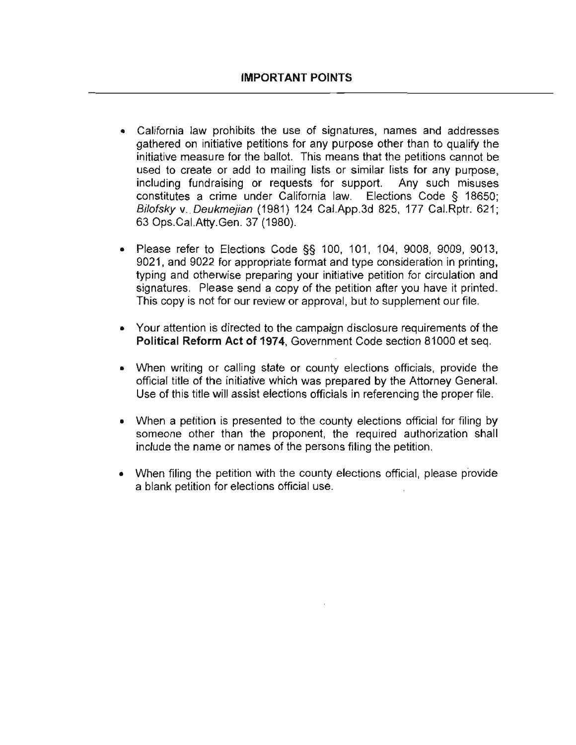- **California law prohibits the use of signatures, names and addresses**  gathered on initiative petitions for any purpose other than to qualify the initiative measure for the ballot. This means that the petitions cannot be used to create or add to mailing lists or similar lists for any purpose, including fundraising or requests for support. Any such misuses constitutes a crime under California law. Elections Code § 18650; Bilofsky v. Deukmejian (1981) 124 Cal.App.3d 825, 177 Cal.Rptr. 621; 63 Ops.CaI.Atty.Gen. 37 (1980).
- Please refer to Elections Code §§ 100, 101, 104, 9008, 9009, 9013, 9021, and 9022 for appropriate format and type consideration in printing, typing and otherwise preparing your initiative petition for circulation and signatures. Please send a copy of the petition after you have it printed. This copy is not for our review or approval, but to supplement our file.
- Your attention is directed to the campaign disclosure requirements of the **Political Reform Act of 1974,** Government Code section 81000 et seq.
- When writing or calling state or county elections officials, provide the official title of the initiative which was prepared by the Attorney General. Use of this title will assist elections officials in referencing the proper file.
- When a petition is presented to the county elections official for filing by someone other than the proponent, the required authorization shall **include the name or names of the persons filing the petition.**
- When filing the petition with the county elections official, please provide a blank petition for elections official use.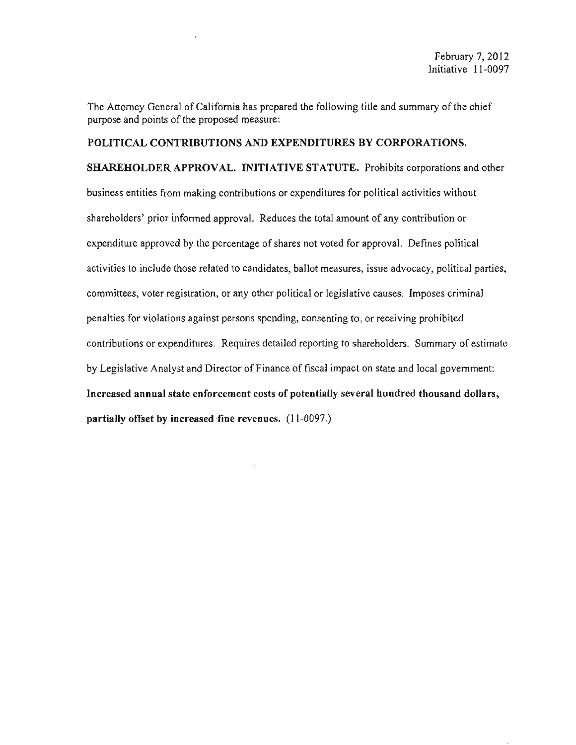The Attorney General of California has prepared the following title and summary of the chief purpose and points of the proposed measure:

## POLITICAL CONTRIBUTIONS AND EXPENDITURES BY CORPORATIONS,

SHAREHOLDER APPROVAL. INITIATIVE STATUTE. Prohibits corporations and other business entities from making contributions or expenditures for political activities without shareholders' prior informed approval. Reduces the total amount of any contribution or expenditure approved by the percentage of shares not voted for approval. Defines political activities to include those related to candidates, ballot measures, issue advocacy, political parties, committees, votcr registration, or any other political or legislative causes. Imposes criminal penalties for violations against persons spending, consenting to, or receiving prohibited contributions or expenditures. Requires detailed reporting to shareholders. Summary of estimate by Legislative Analyst and Director of Finance of fiscal impact on state and local government: Increased annual state enforcement costs of potentially several hundred thousand dollars, partially offset by increased fine revenues. (11-0097.)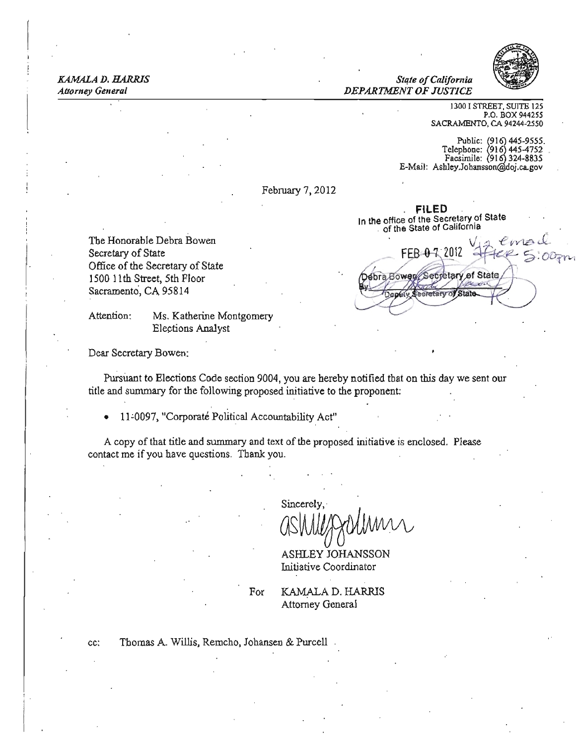# *KAMAlA D. HARRIS State ofCalifornia*



*Drvv,* 

*Attorney Gelleral DEPARTMENT OF JUSTICE* 

1300 I STREET, SUITE 125 P.O. BOX 944255 SACRAMENTO, CA 94244-2550

Public: (916) 445-9555.<br>elephone: (916) 445-4752.  $Fasezii$ :  $(916)$  324-8835 E-Mail: Ashley.Johansson@doj.ca.gov

Secretary of State

Secretary of State

February 7, 2012

. FILED . In the office of the Secretary of State<br>of the State of California

Debra Bower

afstu

The Honorable Debra Bowen  $\mathcal{N} = \mathcal{N} \cup \mathcal{N}$ Secretary of State  $FEB \cdot 0 \cdot 7$  2012  $4FE \cdot 2$ Office of the Secretary of State 1500 11th Street, 5th Floor Sacramento, CA 95814

Attention: Ms. Katherine Montgomery Elections Analyst

Dear Secretary Bowen:

Puisuant to Elections Code section 9004, you are hereby notified that on this day we sent our title and summary for the following proposed initiative to the proponent:

11-0097, "Corporaté Political Accountability Act"

A copy of that title and summary and text of the proposed initiative is enclosed. Please contact me ifyou have questions. Thank you.

> ash Sincerely,

ASHLEY JOHANSSON Initiative Coordinator

For **KAMALA D. HARRIS** Attorney General

cc: Thomas A. Willis, Remcho, Johansen & Purcell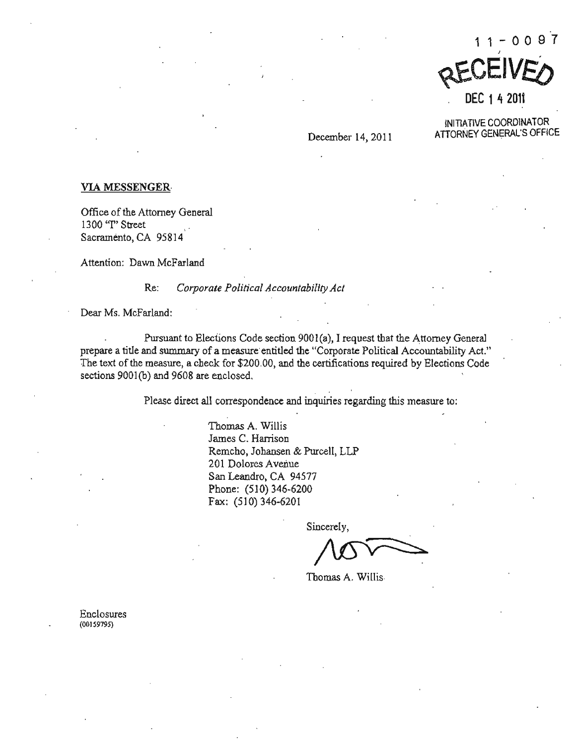

DEC 1~ <sup>2011</sup>

INITIATIVE COORDINATOR December 14, 2011 ATTORNEY GENERAL'S OFFICE

### VIA MESSENGER

Office of the Attorney General **1300 "I" Street** , . Sacramento, CA 95814

**Attention: Dawn McFarland** 

**Re:** *Corporate Political Accountability Act* 

Dear Ms. McFarland:

Pursuant to Elections Code section 9001(a), I request that the Attorney General prepare a title and summary of a measure entitled the "Corporate Political Accountability Act." **The text** of the **measure, a check for \$200.00, and the certifications required by Elections Code**  sections 900l(b) and 9608 are enclosed.

**Please direct all correspondence and inquiries regarding this measure to:** 

**'Thomas A. Willis James C. Harrison** Remcho, Johansen & Purcell, LLP **201 Dolores Avenue**  San Leandro, CA 94577 Phone: (510) 346-6200 Fax:  $(510)$  346-6201

**Sincerely.** 

Thomas A. Willis

**Enclosures (00159795)**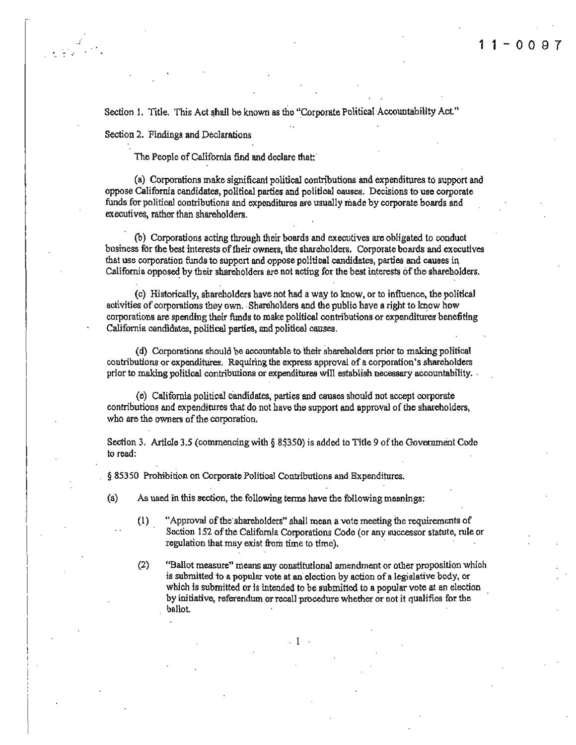Section 1. Title. This Act shall be known as the "Corporate Political Accountability Act."

Section 2. Findings and Declarations

The People of California find and declare that:

(a) Corporations make significant political contributions and expenditures to support and oppose California candidates, political parties and political oauses. Decisions to use corporate funds for politica1 contributions and expenditures are usually made by corporate boards and executives, rather than shareholders.

(b) Corporations acting through their boards and executives are obligated to conduct business for the best interests of their owners, the shareholders. Corporate boards and executives that use corporation funds to support and oppose political candidates, parties and causes in California opposed by their shareholders are not acting for the best interests of the shareholders.

(e) Historically, shareholders have not had a way to know. or to influence. the political activities of corporations they own. Shareholders and the public have a right to know how corporations are'spending their funds to make political contributions or expenditures benefiting California. candidates. political parties, and political causes,

(d) Corporations should be accountable to their shareholders prior to making political contributions or expenditures. Requiring the express approval of a corporation's shareholders prior to making political contributions or expenditures will establish necessary accountability, '

(e) California political Candidates, parties and causes should not accept corporate contributions and expenditures that do not have the support and approval of the shareholders, who are the owners of the corporation.

Section 3. Article 3.5 (commencing with  $\S$  85350) is added to Title 9 of the Government Code to road:

§ 85350 Prohibition on Corporate Political Contributions and Expenditures.

(a) As used in this section, the following tenns have the following meanings:

- (1) "Approval ofthe'shareholders" shall mean a vote meeting the requirements of Section 152 of the California Corporations Code (or any successor statute, rule or regulation that may exist from time to time).
- (2) "Ballot measure" means any constitutional amendment or other proposition which is submitted to a popular vote at an election by action of a legislative body, or which is submitted or is intended to be submitted to a popular vote at an election by initiative, referendwn or recall procedure whether or not it qualifies for the ballot.

. 1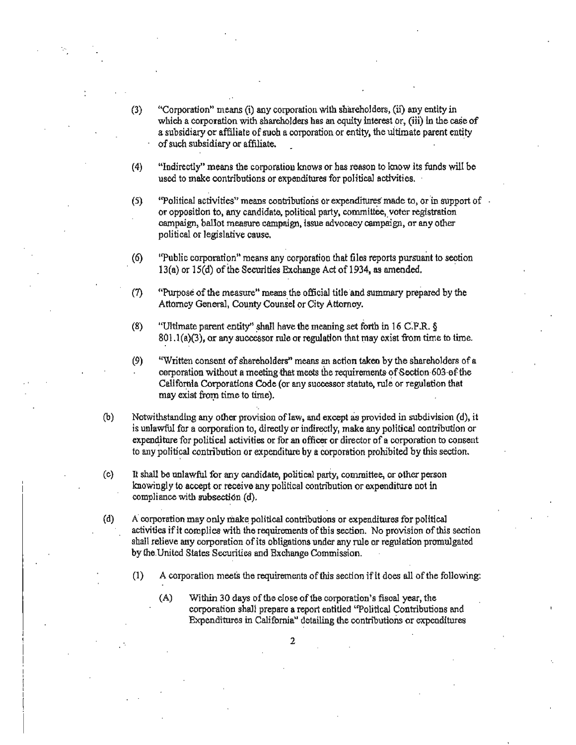- (3) "Corporation" means (i) any corporation with shareho1ders, (u) any entity in which a corporation with shareholders has an equity interest or, (iii) in the case of a subsidiary or affiliate of such a corporation or entity, the ultimate parent entity ofsuch subsidiary or affiliate. .
- $(4)$  "Indirectly" means the corporation knows or has reason to know its funds will be used to make contributions or expenditures for political activities.
- (5) "Political activities" means contributions or expenditures made to, or in support of  $\overline{\phantom{a}}$ or opposition to, any candidate. political party, committee, voter registration campaign, ballot measure campaign, issue advocacy campaign, or any other political or legislative cause.
- (6) "Public corporation" means any corporation that files reports pursuant to section 13(a) or  $15(d)$  of the Securities Exchange Act of 1934, as amended.
- (7) "Purpose ofthe measure" means the official title 'and summary prepared by the Attorney General, County Counsel or City Attorney.
- (8) "Ultimate parent entity" shall have the meaning set forth in 16 C.F.R.  $\S$  $801.1(a)(3)$ , or any successor rule or regulation that may exist from time to time.
- (9) "Written consent of shareholders" means an action taken by the shareholders of a cerporation without a meeting that meets the requirements of Section 603 of the California Corporations Code (or any successor statute, rule or regulation that may exist from time to time).
- (b) Notwithstanding any other provision oflaw, and except as provided in subdivision (d), it is unlawful for a corporation to, directly or indirectly, make any political contribution or expenditure for political activities or for an officer or director of a corporation to consent to any political contribution or expenditure by a corporation prohibited by this section.
- (c) It shall be unlawful for any candidate, political party, committee, or other person knowingly to accept or receive any political contribution or expenditure not in compliance with subsection (d).
- (d) Acorporation may only make. political contributions or expenditures for political activities if it complies with the requirements of this section. No provision of this section shall relieve any corporation of its obligations under any rule or regulation promulgated by the United States Securities and Exchange Commission.
	- $(1)$  A corporation meets the requirements of this section if it does all of the following:
		- $(A)$  Within 30 days of the close of the corporation's fiscal year, the corporation shall prepare a report entitled "Political Contributions and Expenditures in California" detailing Ihe contributions or expenditures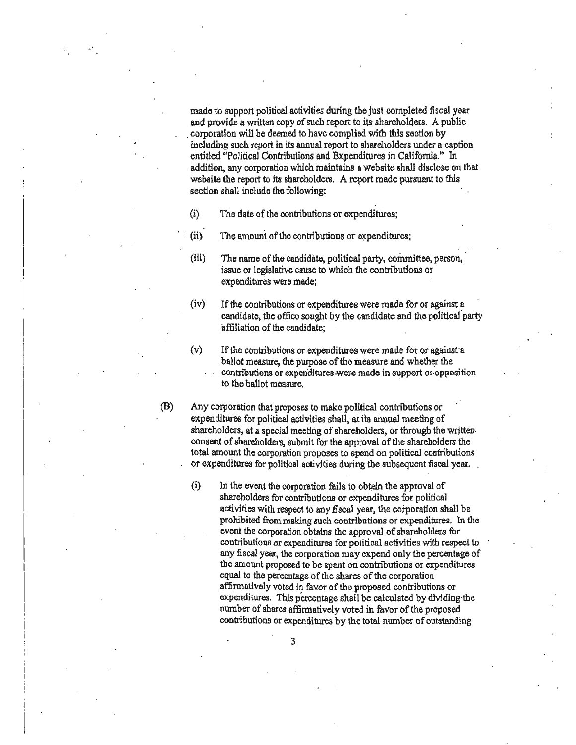made to support political activities during the just completed fiscal year and provide a written copy of such report to its shareholders. A public . corporation will be deemed to have complied with this section by including such report in its annual report to shareholders under a caption entitled "Political Contributions and Expenditures in California." In addition, any corporation which maintains a website shall disclose on that website the report to its shareholders. A report made pursuant to this section shall include tho following:

- $(i)$  The date of the contributions or expenditures;
- $(i)$  The amount of the contributions or expenditures;
- (iii) The name of the candidate, politica1 party, committee. person. ' issue or legislative cause to which the contributions or expenditures were made;
- (iv) Ifthe contributions or expenditures were made for or against a candidate, the office sought by the candidate and the political party affiliation of the candidate;

 $(v)$  If the contributions or expenditures were made for or against a ballot measure, the purpose of the measure and whether the contributions or expenditures-were made in support or opposition to tho ballot measure. .

(B) Any corporation that proposes to mako political contributions or expenditures for political activities shall, at its annual meeting of shareholders, at a special meeting of shareholders, or through the writtenconsent of shareholders, submit for the approval of the shareholders the total amount the corporation proposes to spend on political contributions or expenditures for political activities during the subsequent fiscal year.

(i) In the event the corporation fails to obtain the approval of shareholders for contributions or expenditures for political activities with respect to any fiscal year, the corporation shall be prohibited from making such contributions or expenditures. In the event the corporation obtains the approval ofshareholders for contributions or expenditures for political activities with respect to any fiscal year, the corporation may expend only the percentage of the amount proposed to be spent on contributions or expenditures equal to the percentage of the shares of the corporation affinnatively voted in favor of tho proposed contributions or expenditures. This percentage shall be calculated by dividing the number of shares affirmatively voted in favor of the proposed contributions or expenditures by the total number of outstanding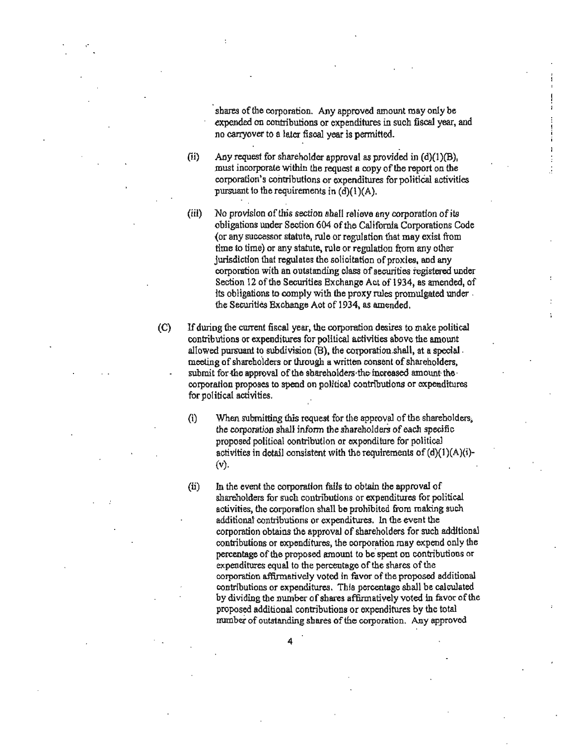shares of the corporation. Any approved amount may only be expended on contributions or expenditures in such fiscal year, and no carryover to a later fiscal year is permitted.

(ii) Any request for shareholder approval as provided in  $(d)(1)(B)$ , must incorporate within the request a copy of the report on the corporation's contributions or expenditures for political activities pursuant to the requirements in  $(d)(1)(A)$ .

- (iii) No provision of this section shall relieve any corporation of its obligations under Section 604 of the California Corporations Code (or any successor statute, rule or regulation that may exist from time to time) or any statute, rule or regulation from any other jurisdiction that regulates the solicitation of proxies, and any corporation with an outstanding class of securities registered under Section 12 of the Securities Exchange Act of 1934, as amended, of its obligations to comply with the proxy rules promulgated under . the Securities Exchange Aot of 1934, as amended.
- (C) Ifduring the current fiscal year, the corporation desires to make political contributions or expenditures for political activities above the amount allowed pursuant to subdivision (B), the corporation shall, at a special . meeting of shareholders or through a written consent of shareholders, submit for the approval of the shareholders the increased amount the · corporation proposes to spend on politioaJ contributions or expenditures for political activities.
	- $(i)$  When submitting this request for the approval of the shareholders. the corporation shall inform the shareholders of each specific proposed political contribution or expenditure for political activities in detail consistent with the requirements of  $(d)(1)(A)(i)$ -(v).
	- (ii) In the event the corporation fails to obtain the approval of shareholders for such contributions or expenditures for political activities, the corporation shall be prohibited from making such additional contributions or expenditures. In the event the corporation obtains the approval of shareholders for such additional contributions or expenditures, the corporation may expend only the percentage of the proposed amount to be'spent on contributions or expenditures equal to the percentage of the shares of the corporation affirmatively voted in favor of the proposed additional contributions or expenditures. This percentage shall be calculated by dividing the number of shares affirmatively voted in favor of the proposed additional contributions or expenditures by the total number of outstanding shares of the corporation. Any approved

. 4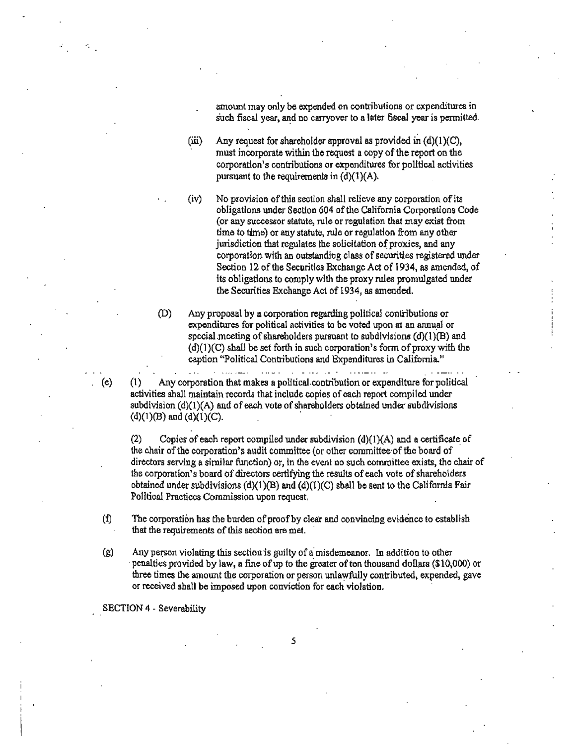amount may only be expended on contributions or expenditures in  $\frac{1}{2}$  such fiscal year, and no carryover to a later fiscal year is permitted.

(iii) Any request for shareholder approval as provided in  $(d)(1)(C)$ , must incorporate within the request a copy of the report on the corporation's contributions or exponditures for political activities pursuant to the requirements in  $(d)(1)(A)$ .

,-,

(iv) No provision of this section shall relieve any corporation of its **obligations under Section 604** oftho **California Corporations Code (or any successor statute, rule or regulation that may exist from time to time) or any statute. rule or regulation from** any other jurisdiction that regulates the solicitation of proxies, and any **corporation with an outstanding class ofsecurities registered under Section 12 afthe Seturitiea Excbange Act of 1934, as amended, of its obligations to comply with the proxy rules promulgated under**  the Securitiea Exchange Act of 1934, as amended.

**(D) Any proposal by a corporation regarding political contributions or**  expenditures for political activities to be voted upon at an annual or special meeting of shareholders pursuant to subdivisions  $(d)(1)(B)$  and  $(d)(1)(C)$  shall be set forth in such corporation's form of proxy with the **caption "Political Contributions and Expenditures in California."** 

and a community of the community of

(e) (I) Any corporation that makes a political-contribution or expenditure for political **activities shall maintain records that include copies ofeach report compiled under subdivision (d)(1 )(A) and ofeach voto of shareholders obtained under subdivisions**   $(d)(1)(B)$  and  $(d)(1)(C)$ .

المسدانين

(2) Copies of each report compiled under subdivision  $(d)(1)(A)$  and a certificate of **the chair afthe corporation's audit committee (or other committee'oftbe board of** . directors serving a similar function) or, in the event no such committee exists, the chair of **the corporation's board of directors certifying the results of each vote of shareholders** obtained under subdivisions  $(d)(1)(B)$  and  $(d)(1)(C)$  shall be sent to the California Fair **Political Practices Commission upon request.** 

 $(f)$  The corporation has the burden of proof by clear and convincing evidence to establish that the requirements of this section are met.

**(g)**  Anyp~n **violating this sectionis guilty** ofa' misdemeanor. **In addition to** oth~ .**penalties provided by law, II fine ofup to the greater often thousand doU.ars (\$10,000) or**  three times the amount the corporation or person unlawfully contributed, expended, gave or received shall be imposed upon conviction for each violation.

SECTION 4 - Severability